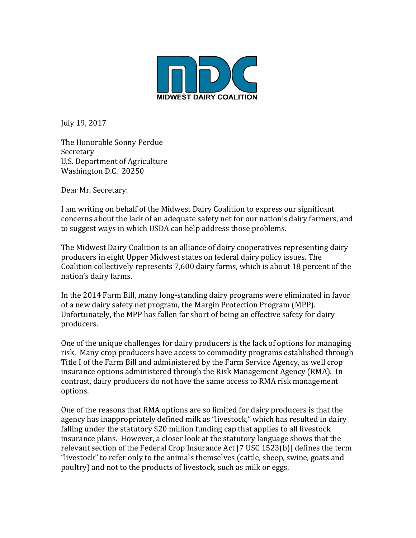

July 19, 2017

The Honorable Sonny Perdue Secretary U.S. Department of Agriculture Washington D.C. 20250

Dear Mr. Secretary:

I am writing on behalf of the Midwest Dairy Coalition to express our significant concerns about the lack of an adequate safety net for our nation's dairy farmers, and to suggest ways in which USDA can help address those problems.

The Midwest Dairy Coalition is an alliance of dairy cooperatives representing dairy producers in eight Upper Midwest states on federal dairy policy issues. The Coalition collectively represents 7,600 dairy farms, which is about 18 percent of the nation's dairy farms.

In the 2014 Farm Bill, many long-standing dairy programs were eliminated in favor of a new dairy safety net program, the Margin Protection Program (MPP). Unfortunately, the MPP has fallen far short of being an effective safety for dairy producers. 

One of the unique challenges for dairy producers is the lack of options for managing risk. Many crop producers have access to commodity programs established through Title I of the Farm Bill and administered by the Farm Service Agency, as well crop insurance options administered through the Risk Management Agency (RMA). In contrast, dairy producers do not have the same access to RMA risk management options. 

One of the reasons that RMA options are so limited for dairy producers is that the agency has inappropriately defined milk as "livestock," which has resulted in dairy falling under the statutory \$20 million funding cap that applies to all livestock insurance plans. However, a closer look at the statutory language shows that the relevant section of the Federal Crop Insurance Act [7 USC 1523(b)] defines the term "livestock" to refer only to the animals themselves (cattle, sheep, swine, goats and poultry) and not to the products of livestock, such as milk or eggs.